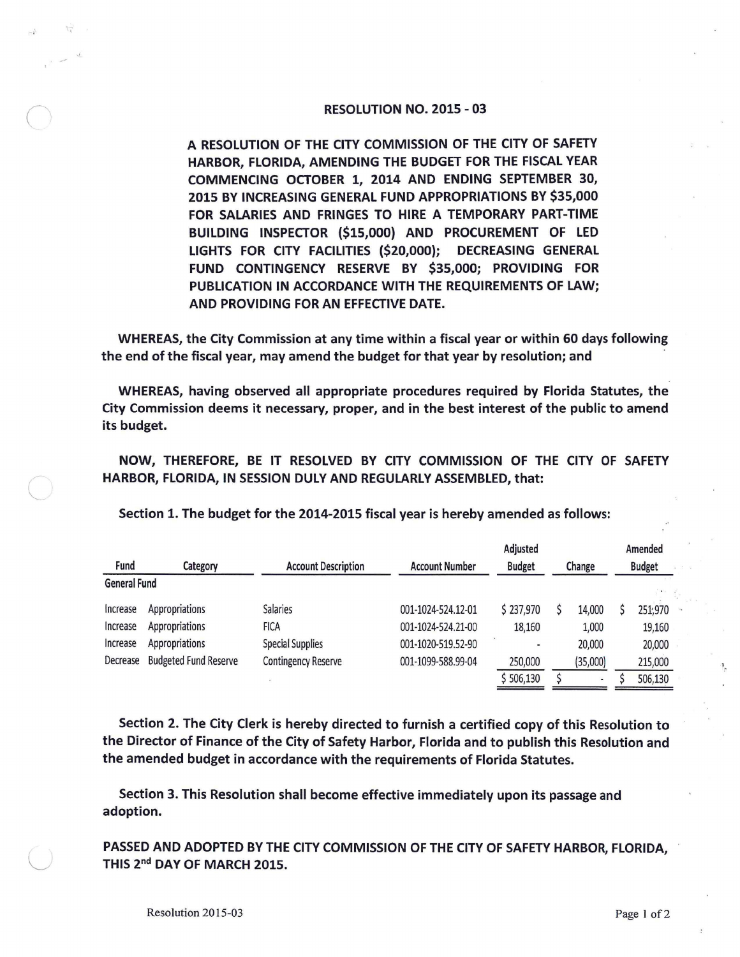## RESOLUTION NO. 2015 - 03

A RESOLUTION OF THE CITY COMMISSION OF THE CITY OF SAFETY HARBOR, FLORIDA, AMENDING THE BUDGET FOR THE FISCAL YEAR COMMENCING OCTOBER 1, 2014 AND ENDING SEPTEMBER 30, 2015 BY INCREASING GENERAL FUND APPROPRIATIONS BY \$35,000 FOR SALARIES AND FRINGES TO HIRE A TEMPORARY PART-TIME BUILDING INSPECTOR {\$15,000) AND PROCUREMENT OF LED LIGHTS FOR CITY FACILITIES {\$20,000); DECREASING GENERAL FUND CONTINGENCY RESERVE BY \$35,000; PROVIDING FOR PUBLICATION IN ACCORDANCE WITH THE REQUIREMENTS OF LAW; AND PROVIDING FOR AN EFFECTIVE DATE.

WHEREAS, the City Commission at any time within a fiscal year or within 60 days following the end of the fiscal year, may amend the budget for that year by resolution; and

WHEREAS, having observed all appropriate procedures required by Florida Statutes, the City Commission deems it necessary, proper, and in the best interest of the public to amend its budget.

**NOW, THEREFORE, BE** IT **RESOLVED BY CITY COMMISSION OF** THE **CITY** OF **SAFETY HARBOR, FLORIDA, IN SESSION DULY AND REGULARLY ASSEMBLED,** that:

|                     |                              |                            |                       | Adjusted      |        |                |               | Amended |  |
|---------------------|------------------------------|----------------------------|-----------------------|---------------|--------|----------------|---------------|---------|--|
| Fund                | Category                     | <b>Account Description</b> | <b>Account Number</b> | <b>Budget</b> | Change |                | <b>Budget</b> |         |  |
| <b>General Fund</b> |                              |                            |                       |               |        |                |               |         |  |
| Increase            | Appropriations               | <b>Salaries</b>            | 001-1024-524.12-01    | \$237,970     |        | 14,000         |               | 251,970 |  |
| Increase            | Appropriations               | <b>FICA</b>                | 001-1024-524.21-00    | 18,160        |        | 1,000          |               | 19,160  |  |
| Increase            | Appropriations               | <b>Special Supplies</b>    | 001-1020-519.52-90    | ٠             |        | 20,000         |               | 20,000  |  |
| Decrease            | <b>Budgeted Fund Reserve</b> | <b>Contingency Reserve</b> | 001-1099-588.99-04    | 250,000       |        | (35,000)       |               | 215,000 |  |
|                     |                              |                            |                       | \$506,130     |        | $\blacksquare$ |               | 506,130 |  |

Section 1. The budget for the 2014-2015 fiscal year is hereby amended as follows:

Section 2. The City Clerk is hereby directed to furnish a certified copy of this Resolution to the Director of Finance of the City of Safety Harbor, Florida and to publish this Resolution and the amended budget in accordance with the requirements of Florida Statutes.

Section 3. This Resolution shall become effective immediately upon its passage and adoption.

PASSED AND ADOPTED BY THE CITY COMMISSION OF THE CITY OF SAFETY HARBOR, FLORIDA, THIS 2<sup>nd</sup> DAY OF MARCH 2015.